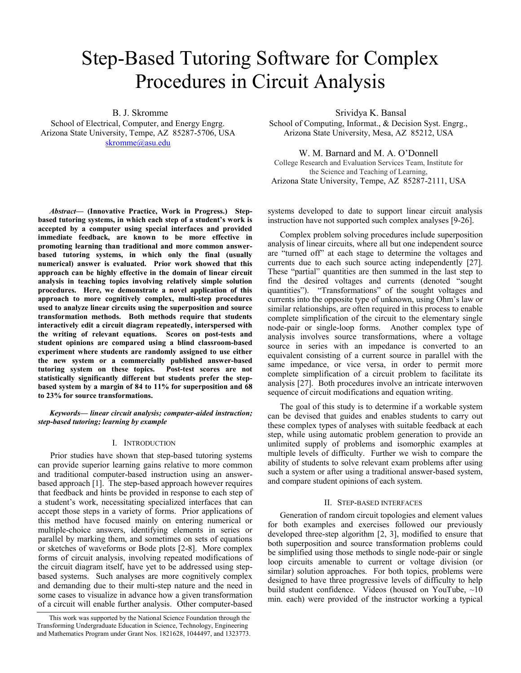# Step-Based Tutoring Software for Complex Procedures in Circuit Analysis

B. J. Skromme

School of Electrical, Computer, and Energy Engrg. Arizona State University, Tempe, AZ 85287-5706, USA [skromme@asu.edu](mailto:skromme@asu.edu)

*Abstract***— (Innovative Practice, Work in Progress.) Stepbased tutoring systems, in which each step of a student's work is accepted by a computer using special interfaces and provided immediate feedback, are known to be more effective in promoting learning than traditional and more common answerbased tutoring systems, in which only the final (usually numerical) answer is evaluated. Prior work showed that this approach can be highly effective in the domain of linear circuit analysis in teaching topics involving relatively simple solution procedures. Here, we demonstrate a novel application of this approach to more cognitively complex, multi-step procedures used to analyze linear circuits using the superposition and source transformation methods. Both methods require that students interactively edit a circuit diagram repeatedly, interspersed with the writing of relevant equations. Scores on post-tests and student opinions are compared using a blind classroom-based experiment where students are randomly assigned to use either the new system or a commercially published answer-based tutoring system on these topics. Post-test scores are not statistically significantly different but students prefer the stepbased system by a margin of 84 to 11% for superposition and 68 to 23% for source transformations.**

*Keywords— linear circuit analysis; computer-aided instruction; step-based tutoring; learning by example*

#### I. INTRODUCTION

Prior studies have shown that step-based tutoring systems can provide superior learning gains relative to more common and traditional computer-based instruction using an answerbased approach [1]. The step-based approach however requires that feedback and hints be provided in response to each step of a student's work, necessitating specialized interfaces that can accept those steps in a variety of forms. Prior applications of this method have focused mainly on entering numerical or multiple-choice answers, identifying elements in series or parallel by marking them, and sometimes on sets of equations or sketches of waveforms or Bode plots [2-8]. More complex forms of circuit analysis, involving repeated modifications of the circuit diagram itself, have yet to be addressed using stepbased systems. Such analyses are more cognitively complex and demanding due to their multi-step nature and the need in some cases to visualize in advance how a given transformation of a circuit will enable further analysis. Other computer-based

Srividya K. Bansal

School of Computing, Informat., & Decision Syst. Engrg., Arizona State University, Mesa, AZ 85212, USA

W. M. Barnard and M. A. O'Donnell

College Research and Evaluation Services Team, Institute for the Science and Teaching of Learning, Arizona State University, Tempe, AZ 85287-2111, USA

systems developed to date to support linear circuit analysis instruction have not supported such complex analyses [9-26].

Complex problem solving procedures include superposition analysis of linear circuits, where all but one independent source are "turned off" at each stage to determine the voltages and currents due to each such source acting independently [27]. These "partial" quantities are then summed in the last step to find the desired voltages and currents (denoted "sought quantities"). "Transformations" of the sought voltages and currents into the opposite type of unknown, using Ohm's law or similar relationships, are often required in this process to enable complete simplification of the circuit to the elementary single node-pair or single-loop forms. Another complex type of analysis involves source transformations, where a voltage source in series with an impedance is converted to an equivalent consisting of a current source in parallel with the same impedance, or vice versa, in order to permit more complete simplification of a circuit problem to facilitate its analysis [27]. Both procedures involve an intricate interwoven sequence of circuit modifications and equation writing.

The goal of this study is to determine if a workable system can be devised that guides and enables students to carry out these complex types of analyses with suitable feedback at each step, while using automatic problem generation to provide an unlimited supply of problems and isomorphic examples at multiple levels of difficulty. Further we wish to compare the ability of students to solve relevant exam problems after using such a system or after using a traditional answer-based system, and compare student opinions of each system.

#### II. STEP-BASED INTERFACES

Generation of random circuit topologies and element values for both examples and exercises followed our previously developed three-step algorithm [2, 3], modified to ensure that both superposition and source transformation problems could be simplified using those methods to single node-pair or single loop circuits amenable to current or voltage division (or similar) solution approaches. For both topics, problems were designed to have three progressive levels of difficulty to help build student confidence. Videos (housed on YouTube, ~10 min. each) were provided of the instructor working a typical

This work was supported by the National Science Foundation through the Transforming Undergraduate Education in Science, Technology, Engineering and Mathematics Program under Grant Nos. 1821628, 1044497, and 1323773.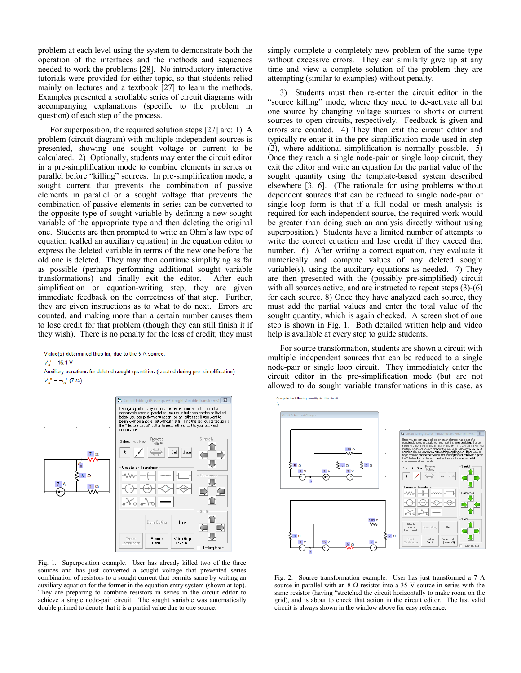problem at each level using the system to demonstrate both the operation of the interfaces and the methods and sequences needed to work the problems [28]. No introductory interactive tutorials were provided for either topic, so that students relied mainly on lectures and a textbook [27] to learn the methods. Examples presented a scrollable series of circuit diagrams with accompanying explanations (specific to the problem in question) of each step of the process.

For superposition, the required solution steps [27] are: 1) A problem (circuit diagram) with multiple independent sources is presented, showing one sought voltage or current to be calculated. 2) Optionally, students may enter the circuit editor in a pre-simplification mode to combine elements in series or parallel before "killing" sources. In pre-simplification mode, a sought current that prevents the combination of passive elements in parallel or a sought voltage that prevents the combination of passive elements in series can be converted to the opposite type of sought variable by defining a new sought variable of the appropriate type and then deleting the original one. Students are then prompted to write an Ohm's law type of equation (called an auxiliary equation) in the equation editor to express the deleted variable in terms of the new one before the old one is deleted. They may then continue simplifying as far as possible (perhaps performing additional sought variable transformations) and finally exit the editor. After each transformations) and finally exit the editor. simplification or equation-writing step, they are given immediate feedback on the correctness of that step. Further, they are given instructions as to what to do next. Errors are counted, and making more than a certain number causes them to lose credit for that problem (though they can still finish it if they wish). There is no penalty for the loss of credit; they must

Value(s) determined thus far, due to the 5 A source:

 $V_a = 16.1 V$ 

Auxiliary equations for deleted sought quantities (created during pre-simplification):  $V_{\alpha}^{\;\;\;\;\;\;\alpha} = -I_{\alpha}^{\;\;\;\;\;\alpha} (7 \; \Omega)$ 



Fig. 1. Superposition example. User has already killed two of the three sources and has just converted a sought voltage that prevented series combination of resistors to a sought current that permits same by writing an auxiliary equation for the former in the equation entry system (shown at top). They are preparing to combine resistors in series in the circuit editor to achieve a single node-pair circuit. The sought variable was automatically double primed to denote that it is a partial value due to one source.

simply complete a completely new problem of the same type without excessive errors. They can similarly give up at any time and view a complete solution of the problem they are attempting (similar to examples) without penalty.

3) Students must then re-enter the circuit editor in the "source killing" mode, where they need to de-activate all but one source by changing voltage sources to shorts or current sources to open circuits, respectively. Feedback is given and errors are counted. 4) They then exit the circuit editor and typically re-enter it in the pre-simplification mode used in step (2), where additional simplification is normally possible. 5) Once they reach a single node-pair or single loop circuit, they exit the editor and write an equation for the partial value of the sought quantity using the template-based system described elsewhere [3, 6]. (The rationale for using problems without dependent sources that can be reduced to single node-pair or single-loop form is that if a full nodal or mesh analysis is required for each independent source, the required work would be greater than doing such an analysis directly without using superposition.) Students have a limited number of attempts to write the correct equation and lose credit if they exceed that number. 6) After writing a correct equation, they evaluate it numerically and compute values of any deleted sought variable(s), using the auxiliary equations as needed. 7) They are then presented with the (possibly pre-simplified) circuit with all sources active, and are instructed to repeat steps  $(3)-(6)$ for each source. 8) Once they have analyzed each source, they must add the partial values and enter the total value of the sought quantity, which is again checked. A screen shot of one step is shown in Fig. 1. Both detailed written help and video help is available at every step to guide students.

For source transformation, students are shown a circuit with multiple independent sources that can be reduced to a single node-pair or single loop circuit. They immediately enter the circuit editor in the pre-simplification mode (but are not allowed to do sought variable transformations in this case, as



Fig. 2. Source transformation example. User has just transformed a 7 A source in parallel with an  $8 \Omega$  resistor into a 35 V source in series with the same resistor (having "stretched the circuit horizontally to make room on the grid), and is about to check that action in the circuit editor. The last valid circuit is always shown in the window above for easy reference.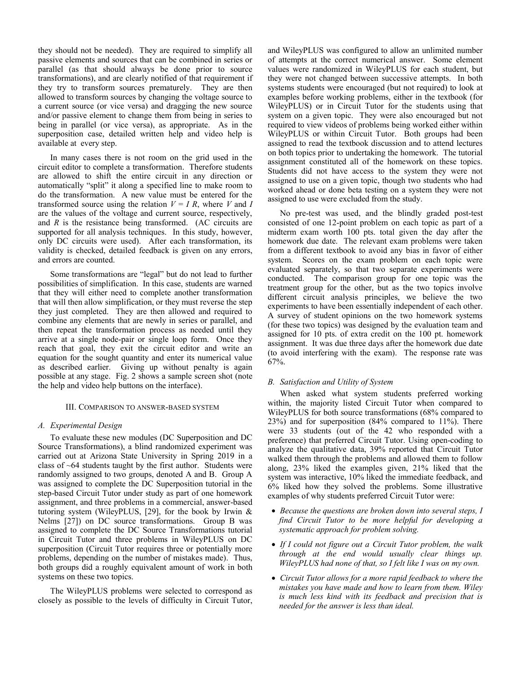they should not be needed). They are required to simplify all passive elements and sources that can be combined in series or parallel (as that should always be done prior to source transformations), and are clearly notified of that requirement if they try to transform sources prematurely. They are then allowed to transform sources by changing the voltage source to a current source (or vice versa) and dragging the new source and/or passive element to change them from being in series to being in parallel (or vice versa), as appropriate. As in the superposition case, detailed written help and video help is available at every step.

In many cases there is not room on the grid used in the circuit editor to complete a transformation. Therefore students are allowed to shift the entire circuit in any direction or automatically "split" it along a specified line to make room to do the transformation. A new value must be entered for the transformed source using the relation  $V = I R$ , where *V* and *I* are the values of the voltage and current source, respectively, and *R* is the resistance being transformed. (AC circuits are supported for all analysis techniques. In this study, however, only DC circuits were used). After each transformation, its validity is checked, detailed feedback is given on any errors, and errors are counted.

Some transformations are "legal" but do not lead to further possibilities of simplification. In this case, students are warned that they will either need to complete another transformation that will then allow simplification, or they must reverse the step they just completed. They are then allowed and required to combine any elements that are newly in series or parallel, and then repeat the transformation process as needed until they arrive at a single node-pair or single loop form. Once they reach that goal, they exit the circuit editor and write an equation for the sought quantity and enter its numerical value as described earlier. Giving up without penalty is again possible at any stage. Fig. 2 shows a sample screen shot (note the help and video help buttons on the interface).

## III. COMPARISON TO ANSWER-BASED SYSTEM

## *A. Experimental Design*

To evaluate these new modules (DC Superposition and DC Source Transformations), a blind randomized experiment was carried out at Arizona State University in Spring 2019 in a class of ~64 students taught by the first author. Students were randomly assigned to two groups, denoted A and B. Group A was assigned to complete the DC Superposition tutorial in the step-based Circuit Tutor under study as part of one homework assignment, and three problems in a commercial, answer-based tutoring system (WileyPLUS, [29], for the book by Irwin & Nelms [27]) on DC source transformations. Group B was assigned to complete the DC Source Transformations tutorial in Circuit Tutor and three problems in WileyPLUS on DC superposition (Circuit Tutor requires three or potentially more problems, depending on the number of mistakes made). Thus, both groups did a roughly equivalent amount of work in both systems on these two topics.

The WileyPLUS problems were selected to correspond as closely as possible to the levels of difficulty in Circuit Tutor,

and WileyPLUS was configured to allow an unlimited number of attempts at the correct numerical answer. Some element values were randomized in WileyPLUS for each student, but they were not changed between successive attempts. In both systems students were encouraged (but not required) to look at examples before working problems, either in the textbook (for WileyPLUS) or in Circuit Tutor for the students using that system on a given topic. They were also encouraged but not required to view videos of problems being worked either within WileyPLUS or within Circuit Tutor. Both groups had been assigned to read the textbook discussion and to attend lectures on both topics prior to undertaking the homework. The tutorial assignment constituted all of the homework on these topics. Students did not have access to the system they were not assigned to use on a given topic, though two students who had worked ahead or done beta testing on a system they were not assigned to use were excluded from the study.

No pre-test was used, and the blindly graded post-test consisted of one 12-point problem on each topic as part of a midterm exam worth 100 pts. total given the day after the homework due date. The relevant exam problems were taken from a different textbook to avoid any bias in favor of either system. Scores on the exam problem on each topic were evaluated separately, so that two separate experiments were conducted. The comparison group for one topic was the treatment group for the other, but as the two topics involve different circuit analysis principles, we believe the two experiments to have been essentially independent of each other. A survey of student opinions on the two homework systems (for these two topics) was designed by the evaluation team and assigned for 10 pts. of extra credit on the 100 pt. homework assignment. It was due three days after the homework due date (to avoid interfering with the exam). The response rate was 67%.

## *B. Satisfaction and Utility of System*

When asked what system students preferred working within, the majority listed Circuit Tutor when compared to WileyPLUS for both source transformations (68% compared to 23%) and for superposition (84% compared to 11%). There were 33 students (out of the 42 who responded with a preference) that preferred Circuit Tutor. Using open-coding to analyze the qualitative data, 39% reported that Circuit Tutor walked them through the problems and allowed them to follow along, 23% liked the examples given, 21% liked that the system was interactive, 10% liked the immediate feedback, and 6% liked how they solved the problems. Some illustrative examples of why students preferred Circuit Tutor were:

- *Because the questions are broken down into several steps, I find Circuit Tutor to be more helpful for developing a systematic approach for problem solving.*
- *If I could not figure out a Circuit Tutor problem, the walk through at the end would usually clear things up. WileyPLUS had none of that, so I felt like I was on my own.*
- *Circuit Tutor allows for a more rapid feedback to where the mistakes you have made and how to learn from them. Wiley is much less kind with its feedback and precision that is needed for the answer is less than ideal.*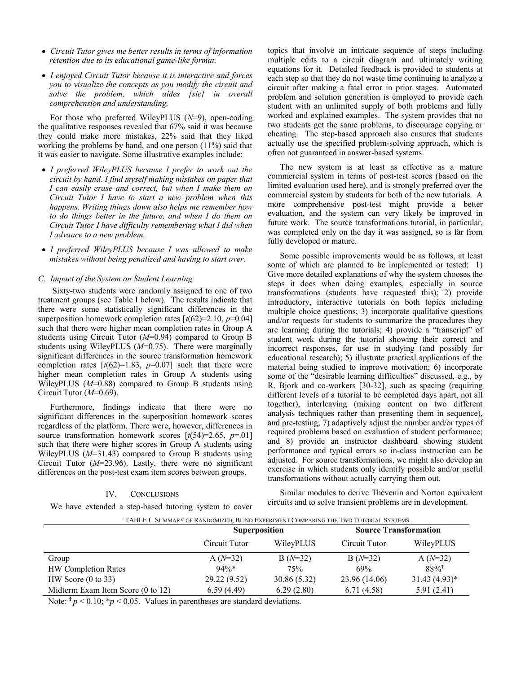- *Circuit Tutor gives me better results in terms of information retention due to its educational game-like format.*
- *I enjoyed Circuit Tutor because it is interactive and forces you to visualize the concepts as you modify the circuit and solve the problem, which aides [sic] in overall comprehension and understanding.*

For those who preferred WileyPLUS (*N*=9), open-coding the qualitative responses revealed that 67% said it was because they could make more mistakes, 22% said that they liked working the problems by hand, and one person (11%) said that it was easier to navigate. Some illustrative examples include:

- *I preferred WileyPLUS because I prefer to work out the circuit by hand. I find myself making mistakes on paper that I can easily erase and correct, but when I make them on Circuit Tutor I have to start a new problem when this happens. Writing things down also helps me remember how to do things better in the future, and when I do them on Circuit Tutor I have difficulty remembering what I did when I advance to a new problem.*
- *I preferred WileyPLUS because I was allowed to make mistakes without being penalized and having to start over.*

## *C. Impact of the System on Student Learning*

Sixty-two students were randomly assigned to one of two treatment groups (see Table I below). The results indicate that there were some statistically significant differences in the superposition homework completion rates  $[t(62)=2.10, p=0.04]$ such that there were higher mean completion rates in Group A students using Circuit Tutor (*M*=0.94) compared to Group B students using WileyPLUS (*M*=0.75). There were marginally significant differences in the source transformation homework completion rates  $\lceil t(62)=1.83, p=0.07 \rceil$  such that there were higher mean completion rates in Group A students using WileyPLUS (*M*=0.88) compared to Group B students using Circuit Tutor (*M*=0.69).

Furthermore, findings indicate that there were no significant differences in the superposition homework scores regardless of the platform. There were, however, differences in source transformation homework scores [*t*(54)=2.65, *p*=.01] such that there were higher scores in Group A students using WileyPLUS (*M*=31.43) compared to Group B students using Circuit Tutor (*M*=23.96). Lastly, there were no significant differences on the post-test exam item scores between groups.

#### IV. CONCLUSIONS

We have extended a step-based tutoring system to cover

topics that involve an intricate sequence of steps including multiple edits to a circuit diagram and ultimately writing equations for it. Detailed feedback is provided to students at each step so that they do not waste time continuing to analyze a circuit after making a fatal error in prior stages. Automated problem and solution generation is employed to provide each student with an unlimited supply of both problems and fully worked and explained examples. The system provides that no two students get the same problems, to discourage copying or cheating. The step-based approach also ensures that students actually use the specified problem-solving approach, which is often not guaranteed in answer-based systems.

The new system is at least as effective as a mature commercial system in terms of post-test scores (based on the limited evaluation used here), and is strongly preferred over the commercial system by students for both of the new tutorials. A more comprehensive post-test might provide a better evaluation, and the system can very likely be improved in future work. The source transformations tutorial, in particular, was completed only on the day it was assigned, so is far from fully developed or mature.

Some possible improvements would be as follows, at least some of which are planned to be implemented or tested: 1) Give more detailed explanations of why the system chooses the steps it does when doing examples, especially in source transformations (students have requested this); 2) provide introductory, interactive tutorials on both topics including multiple choice questions; 3) incorporate qualitative questions and/or requests for students to summarize the procedures they are learning during the tutorials; 4) provide a "transcript" of student work during the tutorial showing their correct and incorrect responses, for use in studying (and possibly for educational research); 5) illustrate practical applications of the material being studied to improve motivation; 6) incorporate some of the "desirable learning difficulties" discussed, e.g., by R. Bjork and co-workers [30-32], such as spacing (requiring different levels of a tutorial to be completed days apart, not all together), interleaving (mixing content on two different analysis techniques rather than presenting them in sequence), and pre-testing; 7) adaptively adjust the number and/or types of required problems based on evaluation of student performance; and 8) provide an instructor dashboard showing student performance and typical errors so in-class instruction can be adjusted. For source transformations, we might also develop an exercise in which students only identify possible and/or useful transformations without actually carrying them out.

Similar modules to derive Thévenin and Norton equivalent circuits and to solve transient problems are in development.

| TABLE I. SUMMARY OF RANDOMIZED, BLIND EXPERIMENT COMPARING THE TWO TUTORIAL SYSTEMS. |                      |              |                              |                     |
|--------------------------------------------------------------------------------------|----------------------|--------------|------------------------------|---------------------|
|                                                                                      | <b>Superposition</b> |              | <b>Source Transformation</b> |                     |
|                                                                                      | Circuit Tutor        | WileyPLUS    | Circuit Tutor                | WileyPLUS           |
| Group                                                                                | $A(N=32)$            | $B(N=32)$    | $B(N=32)$                    | A $(N=32)$          |
| HW Completion Rates                                                                  | $94\%*$              | 75%          | 69%                          | $88\%$ <sup>†</sup> |
| $HW$ Score (0 to 33)                                                                 | 29.22 (9.52)         | 30.86 (5.32) | 23.96 (14.06)                | $31.43(4.93)*$      |
| Midterm Exam Item Score (0 to 12)                                                    | 6.59(4.49)           | 6.29(2.80)   | 6.71(4.58)                   | 5.91(2.41)          |

Note:  $\frac{1}{2}p < 0.10$ ;  $\frac{k}{p} < 0.05$ . Values in parentheses are standard deviations.